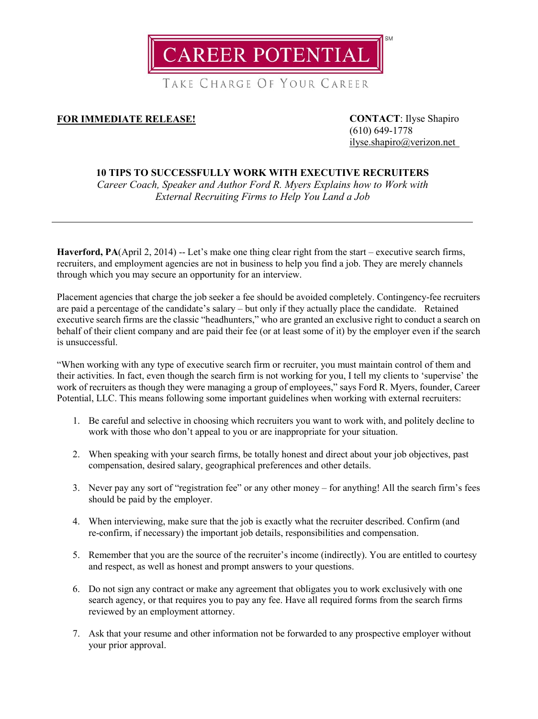

TAKE CHARGE OF YOUR CAREER

## **FOR IMMEDIATE RELEASE! CONTACT**: Ilyse Shapiro

(610) 649-1778 [ilyse.shapiro@verizon.net](mailto:ilyse.shapiro@verizon.net)

## **10 TIPS TO SUCCESSFULLY WORK WITH EXECUTIVE RECRUITERS**

*Career Coach, Speaker and Author Ford R. Myers Explains how to Work with External Recruiting Firms to Help You Land a Job*

**Haverford, PA**(April 2, 2014) -- Let's make one thing clear right from the start – executive search firms, recruiters, and employment agencies are not in business to help you find a job. They are merely channels through which you may secure an opportunity for an interview.

Placement agencies that charge the job seeker a fee should be avoided completely. Contingency-fee recruiters are paid a percentage of the candidate's salary – but only if they actually place the candidate. Retained executive search firms are the classic "headhunters," who are granted an exclusive right to conduct a search on behalf of their client company and are paid their fee (or at least some of it) by the employer even if the search is unsuccessful.

"When working with any type of executive search firm or recruiter, you must maintain control of them and their activities. In fact, even though the search firm is not working for you, I tell my clients to 'supervise' the work of recruiters as though they were managing a group of employees," says Ford R. Myers, founder, Career Potential, LLC. This means following some important guidelines when working with external recruiters:

- 1. Be careful and selective in choosing which recruiters you want to work with, and politely decline to work with those who don't appeal to you or are inappropriate for your situation.
- 2. When speaking with your search firms, be totally honest and direct about your job objectives, past compensation, desired salary, geographical preferences and other details.
- 3. Never pay any sort of "registration fee" or any other money for anything! All the search firm's fees should be paid by the employer.
- 4. When interviewing, make sure that the job is exactly what the recruiter described. Confirm (and re-confirm, if necessary) the important job details, responsibilities and compensation.
- 5. Remember that you are the source of the recruiter's income (indirectly). You are entitled to courtesy and respect, as well as honest and prompt answers to your questions.
- 6. Do not sign any contract or make any agreement that obligates you to work exclusively with one search agency, or that requires you to pay any fee. Have all required forms from the search firms reviewed by an employment attorney.
- 7. Ask that your resume and other information not be forwarded to any prospective employer without your prior approval.